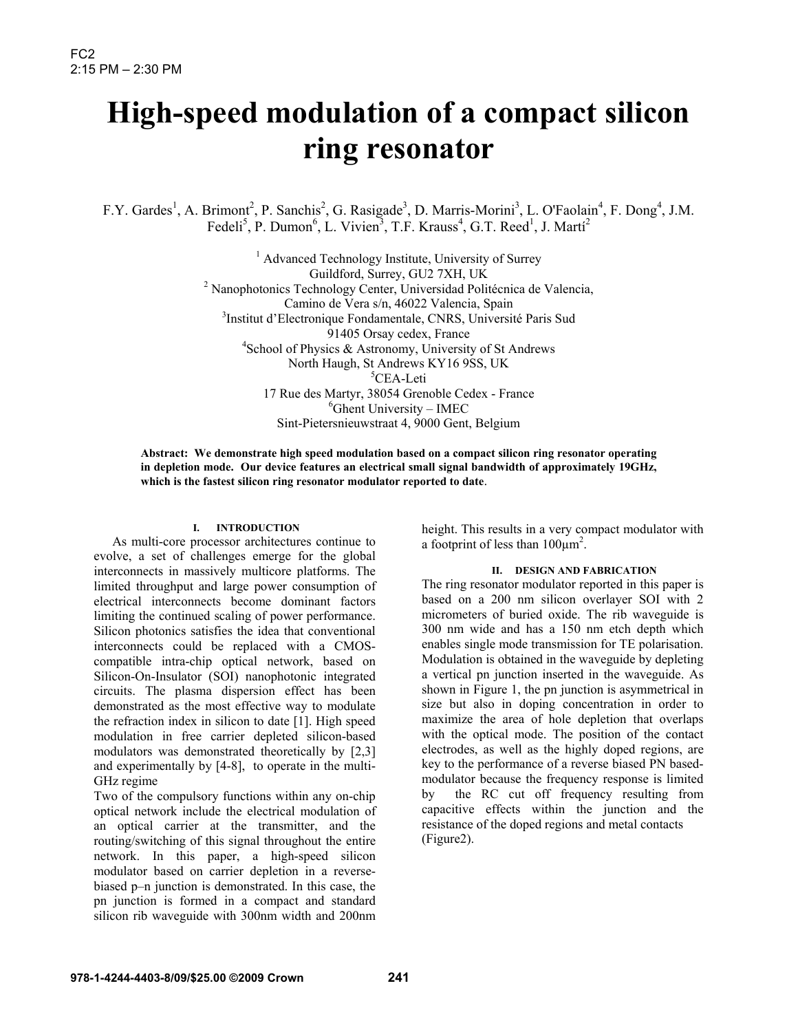# **High-speed modulation of a compact silicon ring resonator**

F.Y. Gardes<sup>1</sup>, A. Brimont<sup>2</sup>, P. Sanchis<sup>2</sup>, G. Rasigade<sup>3</sup>, D. Marris-Morini<sup>3</sup>, L. O'Faolain<sup>4</sup>, F. Dong<sup>4</sup>, J.M. Fedeli<sup>5</sup>, P. Dumon<sup>6</sup>, L. Vivien<sup>3</sup>, T.F. Krauss<sup>4</sup>, G.T. Reed<sup>1</sup>, J. Martí<sup>2</sup>

> <sup>1</sup> Advanced Technology Institute, University of Surrey Guildford, Surrey, GU2 7XH, UK<br><sup>2</sup> Nanophotonics Technology Center, Universidad Politécnica de Valencia, Camino de Vera s/n, 46022 Valencia, Spain 3 <sup>3</sup>Institut d'Electronique Fondamentale, CNRS, Université Paris Sud 91405 Orsay cedex, France 4 School of Physics & Astronomy, University of St Andrews North Haugh, St Andrews KY16 9SS, UK 5 <sup>5</sup>CEA-Leti 17 Rue des Martyr, 38054 Grenoble Cedex - France 6 <sup>6</sup>Ghent University – IMEC Sint-Pietersnieuwstraat 4, 9000 Gent, Belgium

**Abstract: We demonstrate high speed modulation based on a compact silicon ring resonator operating in depletion mode. Our device features an electrical small signal bandwidth of approximately 19GHz, which is the fastest silicon ring resonator modulator reported to date**.

## **I. INTRODUCTION**

As multi-core processor architectures continue to evolve, a set of challenges emerge for the global interconnects in massively multicore platforms. The limited throughput and large power consumption of electrical interconnects become dominant factors limiting the continued scaling of power performance. Silicon photonics satisfies the idea that conventional interconnects could be replaced with a CMOScompatible intra-chip optical network, based on Silicon-On-Insulator (SOI) nanophotonic integrated circuits. The plasma dispersion effect has been demonstrated as the most effective way to modulate the refraction index in silicon to date [1]. High speed modulation in free carrier depleted silicon-based modulators was demonstrated theoretically by [2,3] and experimentally by [4-8], to operate in the multi-GHz regime

Two of the compulsory functions within any on-chip optical network include the electrical modulation of an optical carrier at the transmitter, and the routing/switching of this signal throughout the entire network. In this paper, a high-speed silicon modulator based on carrier depletion in a reversebiased p–n junction is demonstrated. In this case, the pn junction is formed in a compact and standard silicon rib waveguide with 300nm width and 200nm

height. This results in a very compact modulator with a footprint of less than  $100 \mu m^2$ .

### **II. DESIGN AND FABRICATION**

The ring resonator modulator reported in this paper is based on a 200 nm silicon overlayer SOI with 2 micrometers of buried oxide. The rib waveguide is 300 nm wide and has a 150 nm etch depth which enables single mode transmission for TE polarisation. Modulation is obtained in the waveguide by depleting a vertical pn junction inserted in the waveguide. As shown in Figure 1, the pn junction is asymmetrical in size but also in doping concentration in order to maximize the area of hole depletion that overlaps with the optical mode. The position of the contact electrodes, as well as the highly doped regions, are key to the performance of a reverse biased PN basedmodulator because the frequency response is limited by the RC cut off frequency resulting from capacitive effects within the junction and the resistance of the doped regions and metal contacts (Figure2).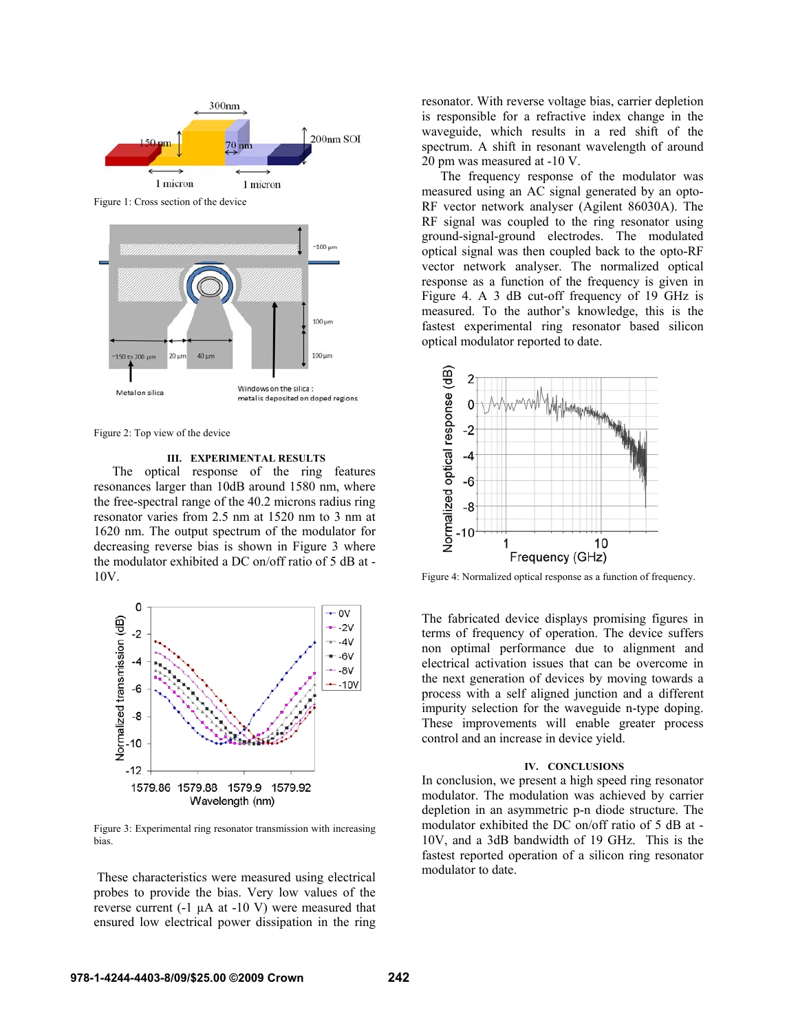

Figure 2: Top view of the device

**III. EXPERIMENTAL RESULTS** 

The optical response of the ring features resonances larger than 10dB around 1580 nm, where the free-spectral range of the 40.2 microns radius ring resonator varies from 2.5 nm at 1520 nm to 3 nm at 1620 nm. The output spectrum of the modulator for decreasing reverse bias is shown in Figure 3 where the modulator exhibited a DC on/off ratio of 5 dB at - 10V.



Figure 3: Experimental ring resonator transmission with increasing bias.

 These characteristics were measured using electrical probes to provide the bias. Very low values of the reverse current  $(-1 \mu A \text{ at } -10 \text{ V})$  were measured that ensured low electrical power dissipation in the ring resonator. With reverse voltage bias, carrier depletion is responsible for a refractive index change in the waveguide, which results in a red shift of the spectrum. A shift in resonant wavelength of around 20 pm was measured at -10 V.

The frequency response of the modulator was measured using an AC signal generated by an opto-RF vector network analyser (Agilent 86030A). The RF signal was coupled to the ring resonator using ground-signal-ground electrodes. The modulated optical signal was then coupled back to the opto-RF vector network analyser. The normalized optical response as a function of the frequency is given in Figure 4. A 3 dB cut-off frequency of 19 GHz is measured. To the author's knowledge, this is the fastest experimental ring resonator based silicon optical modulator reported to date.



The fabricated device displays promising figures in terms of frequency of operation. The device suffers non optimal performance due to alignment and electrical activation issues that can be overcome in the next generation of devices by moving towards a process with a self aligned junction and a different impurity selection for the waveguide n-type doping. These improvements will enable greater process control and an increase in device yield.

### **IV. CONCLUSIONS**

In conclusion, we present a high speed ring resonator modulator. The modulation was achieved by carrier depletion in an asymmetric p-n diode structure. The modulator exhibited the DC on/off ratio of 5 dB at - 10V, and a 3dB bandwidth of 19 GHz. This is the fastest reported operation of a silicon ring resonator modulator to date.